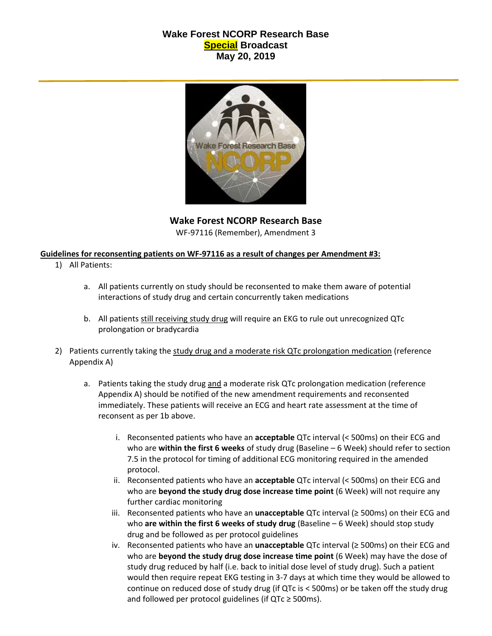## **Wake Forest NCORP Research Base Special Broadcast May 20, 2019**



**Wake Forest NCORP Research Base** WF-97116 (Remember), Amendment 3

## **Guidelines for reconsenting patients on WF-97116 as a result of changes per Amendment #3:**

- 1) All Patients:
	- a. All patients currently on study should be reconsented to make them aware of potential interactions of study drug and certain concurrently taken medications
	- b. All patients still receiving study drug will require an EKG to rule out unrecognized QTc prolongation or bradycardia
- 2) Patients currently taking the study drug and a moderate risk QTc prolongation medication (reference Appendix A)
	- a. Patients taking the study drug and a moderate risk QTc prolongation medication (reference Appendix A) should be notified of the new amendment requirements and reconsented immediately. These patients will receive an ECG and heart rate assessment at the time of reconsent as per 1b above.
		- i. Reconsented patients who have an **acceptable** QTc interval (< 500ms) on their ECG and who are **within the first 6 weeks** of study drug (Baseline – 6 Week) should refer to section 7.5 in the protocol for timing of additional ECG monitoring required in the amended protocol.
		- ii. Reconsented patients who have an **acceptable** QTc interval (< 500ms) on their ECG and who are **beyond the study drug dose increase time point** (6 Week) will not require any further cardiac monitoring
		- iii. Reconsented patients who have an **unacceptable** QTc interval (≥ 500ms) on their ECG and who **are within the first 6 weeks of study drug** (Baseline – 6 Week) should stop study drug and be followed as per protocol guidelines
		- iv. Reconsented patients who have an **unacceptable** QTc interval (≥ 500ms) on their ECG and who are **beyond the study drug dose increase time point** (6 Week) may have the dose of study drug reduced by half (i.e. back to initial dose level of study drug). Such a patient would then require repeat EKG testing in 3-7 days at which time they would be allowed to continue on reduced dose of study drug (if QTc is < 500ms) or be taken off the study drug and followed per protocol guidelines (if  $QTc \geq 500$ ms).